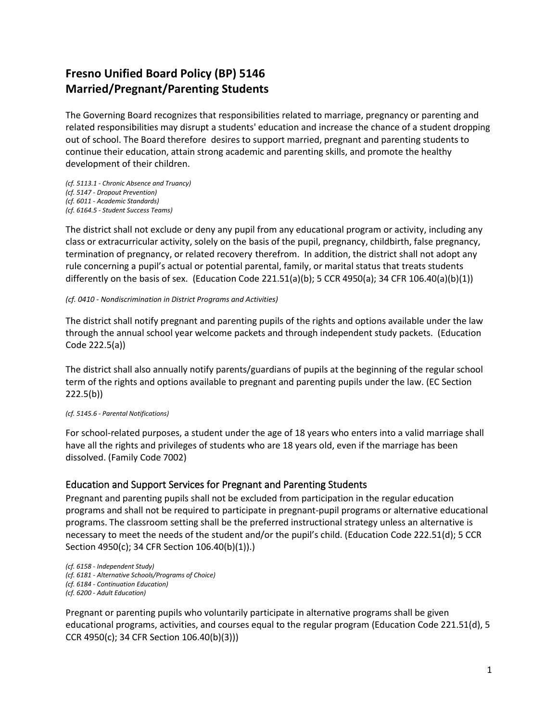# **Fresno Unified Board Policy (BP) 5146 Married/Pregnant/Parenting Students**

The Governing Board recognizes that responsibilities related to marriage, pregnancy or parenting and related responsibilities may disrupt a students' education and increase the chance of a student dropping out of school. The Board therefore desires to support married, pregnant and parenting students to continue their education, attain strong academic and parenting skills, and promote the healthy development of their children.

*(cf. 5113.1 - Chronic Absence and Truancy) (cf. 5147 - Dropout Prevention) (cf. 6011 - Academic Standards) (cf. 6164.5 - Student Success Teams)* 

The district shall not exclude or deny any pupil from any educational program or activity, including any class or extracurricular activity, solely on the basis of the pupil, pregnancy, childbirth, false pregnancy, termination of pregnancy, or related recovery therefrom. In addition, the district shall not adopt any rule concerning a pupil's actual or potential parental, family, or marital status that treats students differently on the basis of sex. (Education Code 221.51(a)(b); 5 CCR 4950(a); 34 CFR 106.40(a)(b)(1))

#### *(cf. 0410 - Nondiscrimination in District Programs and Activities)*

The district shall notify pregnant and parenting pupils of the rights and options available under the law through the annual school year welcome packets and through independent study packets. (Education Code 222.5(a))

The district shall also annually notify parents/guardians of pupils at the beginning of the regular school term of the rights and options available to pregnant and parenting pupils under the law. (EC Section 222.5(b))

#### *(cf. 5145.6 - Parental Notifications)*

For school-related purposes, a student under the age of 18 years who enters into a valid marriage shall have all the rights and privileges of students who are 18 years old, even if the marriage has been dissolved. (Family Code 7002)

# Education and Support Services for Pregnant and Parenting Students

Pregnant and parenting pupils shall not be excluded from participation in the regular education programs and shall not be required to participate in pregnant-pupil programs or alternative educational programs. The classroom setting shall be the preferred instructional strategy unless an alternative is necessary to meet the needs of the student and/or the pupil's child. (Education Code 222.51(d); 5 CCR Section 4950(c); 34 CFR Section 106.40(b)(1)).)

*(cf. 6158 - Independent Study) (cf. 6181 - Alternative Schools/Programs of Choice) (cf. 6184 - Continuation Education) (cf. 6200 - Adult Education)* 

Pregnant or parenting pupils who voluntarily participate in alternative programs shall be given educational programs, activities, and courses equal to the regular program (Education Code 221.51(d), 5 CCR 4950(c); 34 CFR Section 106.40(b)(3)))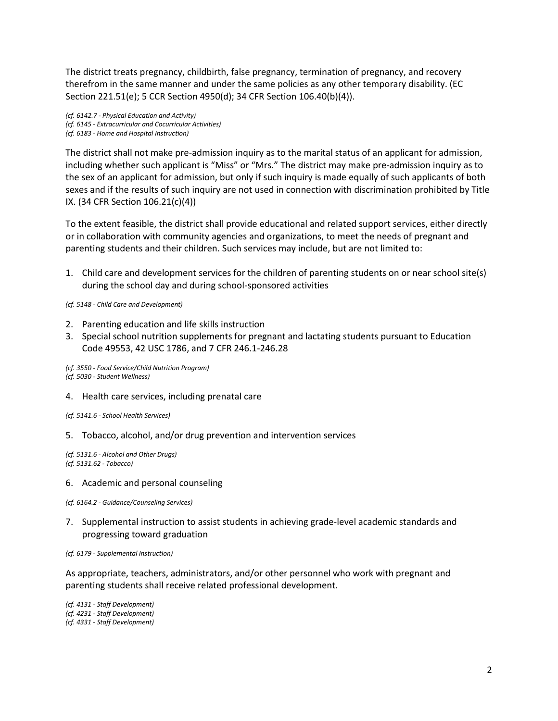The district treats pregnancy, childbirth, false pregnancy, termination of pregnancy, and recovery therefrom in the same manner and under the same policies as any other temporary disability. (EC Section 221.51(e); 5 CCR Section 4950(d); 34 CFR Section 106.40(b)(4)).

*(cf. 6142.7 - Physical Education and Activity) (cf. 6145 - Extracurricular and Cocurricular Activities) (cf. 6183 - Home and Hospital Instruction)*

The district shall not make pre-admission inquiry as to the marital status of an applicant for admission, including whether such applicant is "Miss" or "Mrs." The district may make pre-admission inquiry as to the sex of an applicant for admission, but only if such inquiry is made equally of such applicants of both sexes and if the results of such inquiry are not used in connection with discrimination prohibited by Title IX. (34 CFR Section 106.21(c)(4))

To the extent feasible, the district shall provide educational and related support services, either directly or in collaboration with community agencies and organizations, to meet the needs of pregnant and parenting students and their children. Such services may include, but are not limited to:

1. Child care and development services for the children of parenting students on or near school site(s) during the school day and during school-sponsored activities

*(cf. 5148 - Child Care and Development)*

- 2. Parenting education and life skills instruction
- 3. Special school nutrition supplements for pregnant and lactating students pursuant to Education Code 49553, 42 USC 1786, and 7 CFR 246.1-246.28

*(cf. 3550 - Food Service/Child Nutrition Program) (cf. 5030 - Student Wellness)*

4. Health care services, including prenatal care

*(cf. 5141.6 - School Health Services)*

5. Tobacco, alcohol, and/or drug prevention and intervention services

*(cf. 5131.6 - Alcohol and Other Drugs) (cf. 5131.62 - Tobacco)*

6. Academic and personal counseling

*(cf. 6164.2 - Guidance/Counseling Services)*

7. Supplemental instruction to assist students in achieving grade-level academic standards and progressing toward graduation

*(cf. 6179 - Supplemental Instruction)*

As appropriate, teachers, administrators, and/or other personnel who work with pregnant and parenting students shall receive related professional development.

*(cf. 4131 - Staff Development) (cf. 4231 - Staff Development) (cf. 4331 - Staff Development)*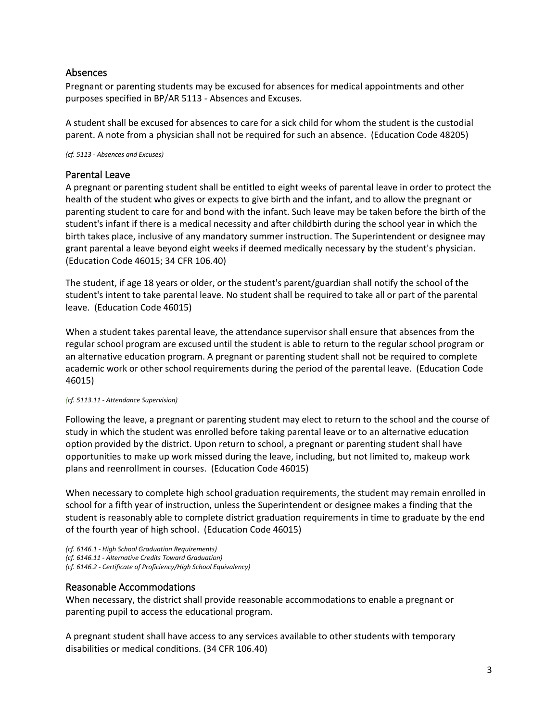# Absences

Pregnant or parenting students may be excused for absences for medical appointments and other purposes specified in BP/AR 5113 - Absences and Excuses.

A student shall be excused for absences to care for a sick child for whom the student is the custodial parent. A note from a physician shall not be required for such an absence. (Education Code 48205)

*(cf. 5113 - Absences and Excuses)*

## Parental Leave

A pregnant or parenting student shall be entitled to eight weeks of parental leave in order to protect the health of the student who gives or expects to give birth and the infant, and to allow the pregnant or parenting student to care for and bond with the infant. Such leave may be taken before the birth of the student's infant if there is a medical necessity and after childbirth during the school year in which the birth takes place, inclusive of any mandatory summer instruction. The Superintendent or designee may grant parental a leave beyond eight weeks if deemed medically necessary by the student's physician. (Education Code 46015; 34 CFR 106.40)

The student, if age 18 years or older, or the student's parent/guardian shall notify the school of the student's intent to take parental leave. No student shall be required to take all or part of the parental leave. (Education Code 46015)

When a student takes parental leave, the attendance supervisor shall ensure that absences from the regular school program are excused until the student is able to return to the regular school program or an alternative education program. A pregnant or parenting student shall not be required to complete academic work or other school requirements during the period of the parental leave. (Education Code 46015)

#### *(cf. 5113.11 - Attendance Supervision)*

Following the leave, a pregnant or parenting student may elect to return to the school and the course of study in which the student was enrolled before taking parental leave or to an alternative education option provided by the district. Upon return to school, a pregnant or parenting student shall have opportunities to make up work missed during the leave, including, but not limited to, makeup work plans and reenrollment in courses. (Education Code 46015)

When necessary to complete high school graduation requirements, the student may remain enrolled in school for a fifth year of instruction, unless the Superintendent or designee makes a finding that the student is reasonably able to complete district graduation requirements in time to graduate by the end of the fourth year of high school. (Education Code 46015)

*(cf. 6146.1 - High School Graduation Requirements) (cf. 6146.11 - Alternative Credits Toward Graduation) (cf. 6146.2 - Certificate of Proficiency/High School Equivalency)*

### Reasonable Accommodations

When necessary, the district shall provide reasonable accommodations to enable a pregnant or parenting pupil to access the educational program.

A pregnant student shall have access to any services available to other students with temporary disabilities or medical conditions. (34 CFR 106.40)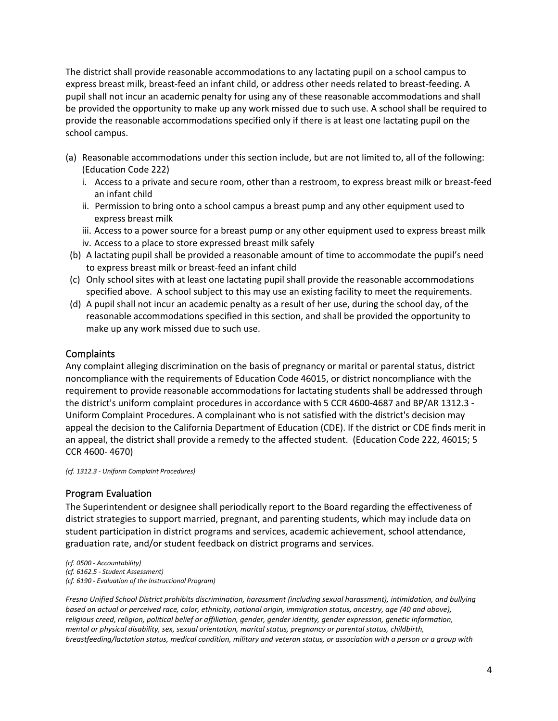The district shall provide reasonable accommodations to any lactating pupil on a school campus to express breast milk, breast-feed an infant child, or address other needs related to breast-feeding. A pupil shall not incur an academic penalty for using any of these reasonable accommodations and shall be provided the opportunity to make up any work missed due to such use. A school shall be required to provide the reasonable accommodations specified only if there is at least one lactating pupil on the school campus.

- (a) Reasonable accommodations under this section include, but are not limited to, all of the following: (Education Code 222)
	- i. Access to a private and secure room, other than a restroom, to express breast milk or breast-feed an infant child
	- ii. Permission to bring onto a school campus a breast pump and any other equipment used to express breast milk
	- iii. Access to a power source for a breast pump or any other equipment used to express breast milk iv. Access to a place to store expressed breast milk safely
- (b) A lactating pupil shall be provided a reasonable amount of time to accommodate the pupil's need to express breast milk or breast-feed an infant child
- (c) Only school sites with at least one lactating pupil shall provide the reasonable accommodations specified above. A school subject to this may use an existing facility to meet the requirements.
- (d) A pupil shall not incur an academic penalty as a result of her use, during the school day, of the reasonable accommodations specified in this section, and shall be provided the opportunity to make up any work missed due to such use.

## Complaints

Any complaint alleging discrimination on the basis of pregnancy or marital or parental status, district noncompliance with the requirements of Education Code 46015, or district noncompliance with the requirement to provide reasonable accommodations for lactating students shall be addressed through the district's uniform complaint procedures in accordance with 5 CCR 4600-4687 and BP/AR 1312.3 - Uniform Complaint Procedures. A complainant who is not satisfied with the district's decision may appeal the decision to the California Department of Education (CDE). If the district or CDE finds merit in an appeal, the district shall provide a remedy to the affected student. (Education Code 222, 46015; 5 CCR 4600- 4670)

*(cf. 1312.3 - Uniform Complaint Procedures)*

# Program Evaluation

The Superintendent or designee shall periodically report to the Board regarding the effectiveness of district strategies to support married, pregnant, and parenting students, which may include data on student participation in district programs and services, academic achievement, school attendance, graduation rate, and/or student feedback on district programs and services.

*(cf. 0500 - Accountability) (cf. 6162.5 - Student Assessment) (cf. 6190 - Evaluation of the Instructional Program)*

*Fresno Unified School District prohibits discrimination, harassment (including sexual harassment), intimidation, and bullying based on actual or perceived race, color, ethnicity, national origin, immigration status, ancestry, age (40 and above), religious creed, religion, political belief or affiliation, gender, gender identity, gender expression, genetic information, mental or physical disability, sex, sexual orientation, marital status, pregnancy or parental status, childbirth, breastfeeding/lactation status, medical condition, military and veteran status, or association with a person or a group with*